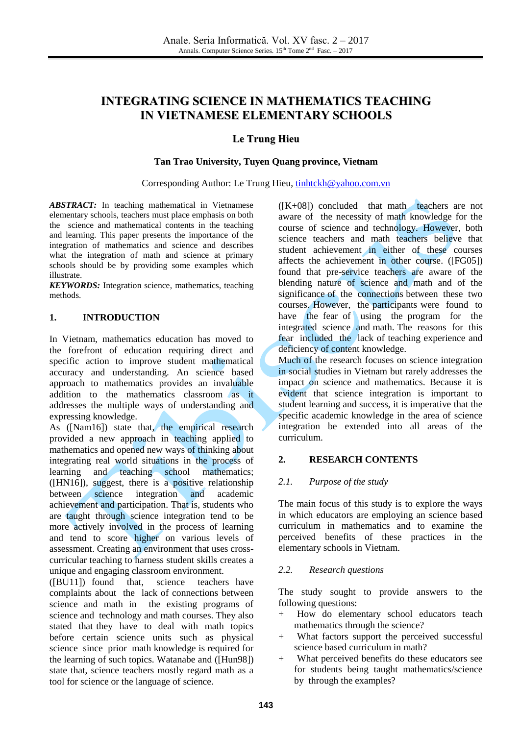# **INTEGRATING SCIENCE IN MATHEMATICS TEACHING IN VIETNAMESE ELEMENTARY SCHOOLS**

### **Le Trung Hieu**

#### **Tan Trao University, Tuyen Quang province, Vietnam**

Corresponding Author: Le Trung Hieu, [tinhtckh@yahoo.com.vn](mailto:tinhtckh@yahoo.com.vn)

*ABSTRACT:* In teaching mathematical in Vietnamese elementary schools, teachers must place emphasis on both the science and mathematical contents in the teaching and learning. This paper presents the importance of the integration of mathematics and science and describes what the integration of math and science at primary schools should be by providing some examples which illustrate.

*KEYWORDS:* Integration science, mathematics, teaching methods.

#### **1. INTRODUCTION**

In Vietnam, mathematics education has moved to the forefront of education requiring direct and specific action to improve student mathematical accuracy and understanding. An science based approach to mathematics provides an invaluable addition to the mathematics classroom as it addresses the multiple ways of understanding and expressing knowledge.

As ([Nam16]) state that, the empirical research provided a new approach in teaching applied to mathematics and opened new ways of thinking about integrating real world situations in the process of learning and teaching school mathematics;  $(HN16)$ , suggest, there is a positive relationship between science integration and academic achievement and participation. That is, students who are taught through science integration tend to be more actively involved in the process of learning and tend to score higher on various levels of assessment. Creating an environment that uses crosscurricular teaching to harness student skills creates a unique and engaging classroom environment.

([BU11]) found that, science teachers have complaints about the lack of connections between science and math in the existing programs of science and technology and math courses. They also stated that they have to deal with math topics before certain science units such as physical science since prior math knowledge is required for the learning of such topics. Watanabe and ([Hun98]) state that, science teachers mostly regard math as a tool for science or the language of science.

 $([K+08])$  concluded that math teachers are not aware of the necessity of math knowledge for the course of science and technology. However, both science teachers and math teachers believe that student achievement in either of these courses affects the achievement in other course. ([FG05]) found that pre-service teachers are aware of the blending nature of science and math and of the significance of the connections between these two courses. However, the participants were found to have the fear of using the program for the integrated science and math. The reasons for this fear included the lack of teaching experience and deficiency of content knowledge.

Much of the research focuses on science integration in social studies in Vietnam but rarely addresses the impact on science and mathematics. Because it is evident that science integration is important to student learning and success, it is imperative that the specific academic knowledge in the area of science integration be extended into all areas of the curriculum.

### **2. RESEARCH CONTENTS**

#### *2.1. Purpose of the study*

The main focus of this study is to explore the ways in which educators are employing an science based curriculum in mathematics and to examine the perceived benefits of these practices in the elementary schools in Vietnam.

#### *2.2. Research questions*

The study sought to provide answers to the following questions:

- + How do elementary school educators teach mathematics through the science?
- + What factors support the perceived successful science based curriculum in math?
- + What perceived benefits do these educators see for students being taught mathematics/science by through the examples?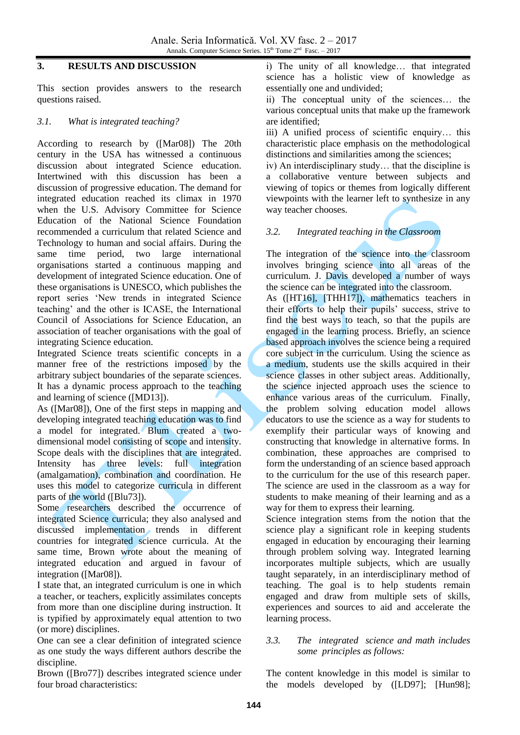# **3. RESULTS AND DISCUSSION**

This section provides answers to the research questions raised.

# *3.1. What is integrated teaching?*

According to research by ([Mar08]) The 20th century in the USA has witnessed a continuous discussion about integrated Science education. Intertwined with this discussion has been a discussion of progressive education. The demand for integrated education reached its climax in 1970 when the U.S. Advisory Committee for Science Education of the National Science Foundation recommended a curriculum that related Science and Technology to human and social affairs. During the same time period, two large international organisations started a continuous mapping and development of integrated Science education. One of these organisations is UNESCO, which publishes the report series 'New trends in integrated Science teaching' and the other is ICASE, the International Council of Associations for Science Education, an association of teacher organisations with the goal of integrating Science education.

Integrated Science treats scientific concepts in a manner free of the restrictions imposed by the arbitrary subject boundaries of the separate sciences. It has a dynamic process approach to the teaching and learning of science ([MD13]).

As ([Mar08]), One of the first steps in mapping and developing integrated teaching education was to find a model for integrated. Blum created a twodimensional model consisting of scope and intensity. Scope deals with the disciplines that are integrated. Intensity has three levels: full integration (amalgamation), combination and coordination. He uses this model to categorize curricula in different parts of the world ([Blu73]).

Some researchers described the occurrence of integrated Science curricula; they also analysed and discussed implementation trends in different countries for integrated science curricula. At the same time, Brown wrote about the meaning of integrated education and argued in favour of integration ([Mar08]).

I state that, an integrated curriculum is one in which a teacher, or teachers, explicitly assimilates concepts from more than one discipline during instruction. It is typified by approximately equal attention to two (or more) disciplines.

One can see a clear definition of integrated science as one study the ways different authors describe the discipline.

Brown ([Bro77]) describes integrated science under four broad characteristics:

i) The unity of all knowledge… that integrated science has a holistic view of knowledge as essentially one and undivided;

ii) The conceptual unity of the sciences… the various conceptual units that make up the framework are identified;

iii) A unified process of scientific enquiry… this characteristic place emphasis on the methodological distinctions and similarities among the sciences;

iv) An interdisciplinary study… that the discipline is a collaborative venture between subjects and viewing of topics or themes from logically different viewpoints with the learner left to synthesize in any way teacher chooses.

*3.2. Integrated teaching in the Classroom* 

The integration of the science into the classroom involves bringing science into all areas of the curriculum. J. Davis developed a number of ways the science can be integrated into the classroom.

As ([HT16], [THH17]), mathematics teachers in their efforts to help their pupils' success, strive to find the best ways to teach, so that the pupils are engaged in the learning process. Briefly, an science based approach involves the science being a required core subject in the curriculum. Using the science as a medium, students use the skills acquired in their science classes in other subject areas. Additionally, the science injected approach uses the science to enhance various areas of the curriculum. Finally, the problem solving education model allows educators to use the science as a way for students to exemplify their particular ways of knowing and constructing that knowledge in alternative forms. In combination, these approaches are comprised to form the understanding of an science based approach to the curriculum for the use of this research paper. The science are used in the classroom as a way for students to make meaning of their learning and as a way for them to express their learning.

Science integration stems from the notion that the science play a significant role in keeping students engaged in education by encouraging their learning through problem solving way. Integrated learning incorporates multiple subjects, which are usually taught separately, in an interdisciplinary method of teaching. The goal is to help students remain engaged and draw from multiple sets of skills, experiences and sources to aid and accelerate the learning process.

# *3.3. The integrated science and math includes some principles as follows:*

The content knowledge in this model is similar to the models developed by ([LD97]; [Hun98];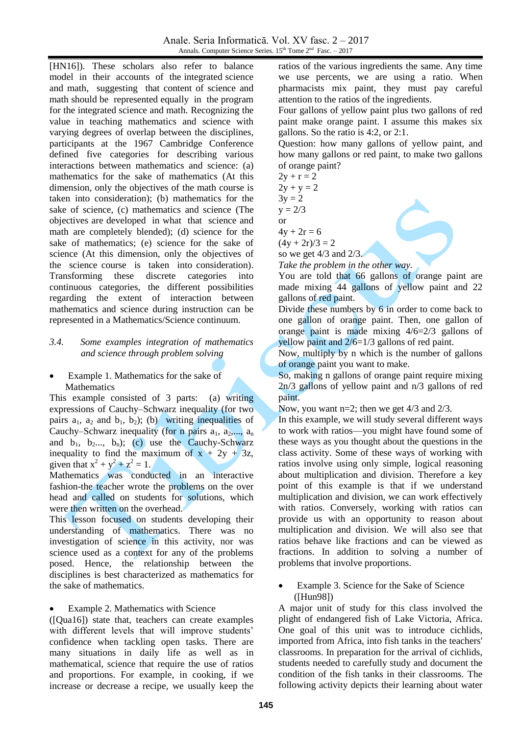Anale. Seria Informatică. Vol. XV fasc. 2 – 2017 Annals. Computer Science Series.  $15<sup>th</sup>$  Tome  $2<sup>nd</sup>$  Fasc.  $-2017$ 

[HN16]). These scholars also refer to balance model in their accounts of the integrated science and math, suggesting that content of science and math should be represented equally in the program for the integrated science and math. Recognizing the value in teaching mathematics and science with varying degrees of overlap between the disciplines, participants at the 1967 Cambridge Conference defined five categories for describing various interactions between mathematics and science: (a) mathematics for the sake of mathematics (At this dimension, only the objectives of the math course is taken into consideration); (b) mathematics for the sake of science, (c) mathematics and science (The objectives are developed in what that science and math are completely blended); (d) science for the sake of mathematics; (e) science for the sake of science (At this dimension, only the objectives of the science course is taken into consideration). Transforming these discrete categories into continuous categories, the different possibilities regarding the extent of interaction between mathematics and science during instruction can be represented in a Mathematics/Science continuum.

#### *3.4. Some examples integration of mathematics and science through problem solving*

 Example 1. Mathematics for the sake of Mathematics

This example consisted of 3 parts: (a) writing expressions of Cauchy–Schwarz inequality (for two pairs  $a_1$ ,  $a_2$  and  $b_1$ ,  $b_2$ ); (b) writing inequalities of Cauchy–Schwarz inequality (for n pairs  $a_1, a_2,..., a_n$ ) and  $b_1$ ,  $b_2$ ...,  $b_n$ ); (c) use the Cauchy-Schwarz inequality to find the maximum of  $x + 2y + 3z$ , given that  $x^2 + y^2 + z^2 = 1$ .

Mathematics was conducted in an interactive fashion-the teacher wrote the problems on the over head and called on students for solutions, which were then written on the overhead.

This lesson focused on students developing their understanding of mathematics. There was no investigation of science in this activity, nor was science used as a context for any of the problems posed. Hence, the relationship between the disciplines is best characterized as mathematics for the sake of mathematics.

#### Example 2. Mathematics with Science

([Qua16]) state that, teachers can create examples with different levels that will improve students' confidence when tackling open tasks. There are many situations in daily life as well as in mathematical, science that require the use of ratios and proportions. For example, in cooking, if we increase or decrease a recipe, we usually keep the

ratios of the various ingredients the same. Any time we use percents, we are using a ratio. When pharmacists mix paint, they must pay careful attention to the ratios of the ingredients.

Four gallons of yellow paint plus two gallons of red paint make orange paint. I assume this makes six gallons. So the ratio is 4:2, or 2:1.

Question: how many gallons of yellow paint, and how many gallons or red paint, to make two gallons of orange paint?

 $2y + r = 2$ 

 $2y + y = 2$  $3y = 2$  $y = 2/3$ or

 $4y + 2r = 6$ 

 $(4y + 2r)/3 = 2$ so we get 4/3 and 2/3.

*Take the problem in the other way.*

You are told that 66 gallons of orange paint are made mixing 44 gallons of yellow paint and 22 gallons of red paint.

Divide these numbers by 6 in order to come back to one gallon of orange paint. Then, one gallon of orange paint is made mixing 4/6=2/3 gallons of yellow paint and 2/6=1/3 gallons of red paint.

Now, multiply by n which is the number of gallons of orange paint you want to make.

So, making n gallons of orange paint require mixing 2n/3 gallons of yellow paint and n/3 gallons of red paint.

Now, you want  $n=2$ ; then we get 4/3 and 2/3.

In this example, we will study several different ways to work with ratios—you might have found some of these ways as you thought about the questions in the class activity. Some of these ways of working with ratios involve using only simple, logical reasoning about multiplication and division. Therefore a key point of this example is that if we understand multiplication and division, we can work effectively with ratios. Conversely, working with ratios can provide us with an opportunity to reason about multiplication and division. We will also see that ratios behave like fractions and can be viewed as fractions. In addition to solving a number of problems that involve proportions.

 Example 3. Science for the Sake of Science ([Hun98])

A major unit of study for this class involved the plight of endangered fish of Lake Victoria, Africa. One goal of this unit was to introduce cichlids, imported from Africa, into fish tanks in the teachers' classrooms. In preparation for the arrival of cichlids, students needed to carefully study and document the condition of the fish tanks in their classrooms. The following activity depicts their learning about water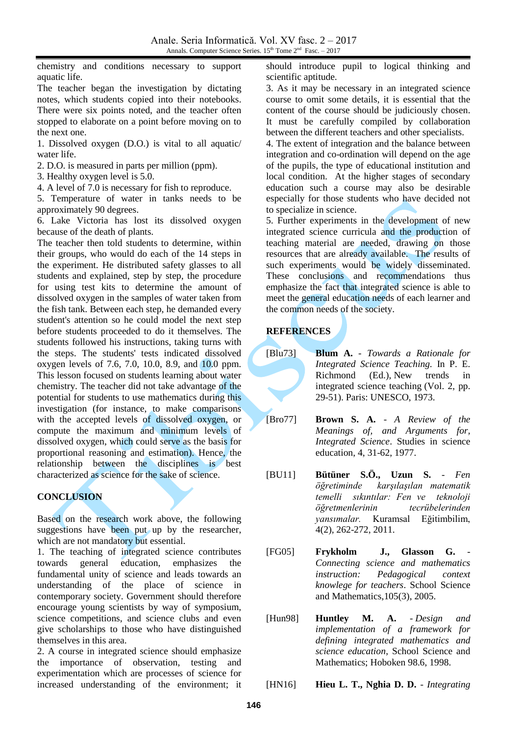chemistry and conditions necessary to support aquatic life.

The teacher began the investigation by dictating notes, which students copied into their notebooks. There were six points noted, and the teacher often stopped to elaborate on a point before moving on to the next one.

1. Dissolved oxygen (D.O.) is vital to all aquatic/ water life.

2. D.O. is measured in parts per million (ppm).

3. Healthy oxygen level is 5.0.

4. A level of 7.0 is necessary for fish to reproduce.

5. Temperature of water in tanks needs to be approximately 90 degrees.

6. Lake Victoria has lost its dissolved oxygen because of the death of plants.

The teacher then told students to determine, within their groups, who would do each of the 14 steps in the experiment. He distributed safety glasses to all students and explained, step by step, the procedure for using test kits to determine the amount of dissolved oxygen in the samples of water taken from the fish tank. Between each step, he demanded every student's attention so he could model the next step before students proceeded to do it themselves. The students followed his instructions, taking turns with the steps. The students' tests indicated dissolved oxygen levels of 7.6, 7.0, 10.0, 8.9, and 10.0 ppm. This lesson focused on students learning about water chemistry. The teacher did not take advantage of the potential for students to use mathematics during this investigation (for instance, to make comparisons with the accepted levels of dissolved oxygen, or compute the maximum and minimum levels of dissolved oxygen, which could serve as the basis for proportional reasoning and estimation). Hence, the relationship between the disciplines is best characterized as science for the sake of science.

# **CONCLUSION**

Based on the research work above, the following suggestions have been put up by the researcher, which are not mandatory but essential.

1. The teaching of integrated science contributes towards general education, emphasizes the fundamental unity of science and leads towards an understanding of the place of science in contemporary society. Government should therefore encourage young scientists by way of symposium, science competitions, and science clubs and even give scholarships to those who have distinguished themselves in this area.

2. A course in integrated science should emphasize the importance of observation, testing and experimentation which are processes of science for increased understanding of the environment; it

should introduce pupil to logical thinking and scientific aptitude.

3. As it may be necessary in an integrated science course to omit some details, it is essential that the content of the course should be judiciously chosen. It must be carefully compiled by collaboration between the different teachers and other specialists.

4. The extent of integration and the balance between integration and co-ordination will depend on the age of the pupils, the type of educational institution and local condition. At the higher stages of secondary education such a course may also be desirable especially for those students who have decided not to specialize in science.

5. Further experiments in the development of new integrated science curricula and the production of teaching material are needed, drawing on those resources that are already available. The results of such experiments would be widely disseminated. These conclusions and recommendations thus emphasize the fact that integrated science is able to meet the general education needs of each learner and the common needs of the society.

# **REFERENCES**

- [Blu73] **Blum A.** *- Towards a Rationale for Integrated Science Teaching.* In P. E. Richmond (Ed.), New trends in integrated science teaching (Vol. 2, pp. 29-51). Paris: UNESCO, 1973.
- [Bro77] **Brown S. A.** *A Review of the Meanings of, and Arguments for, Integrated Science*. Studies in science education, 4, 31-62, 1977.
- [BU11] **Bütüner S.Ö., Uzun S.** *Fen öğretiminde karşılaşılan matematik temelli sıkıntılar: Fen ve teknoloji öğretmenlerinin tecrübelerinden yansımalar.* Kuramsal Eğitimbilim, 4(2), 262-272, 2011.
- [FG05] **Frykholm J., Glasson G.** *Connecting science and mathematics instruction: Pedagogical context knowlege for teachers*. School Science and Mathematics,105(3), 2005.
- [Hun98] **Huntley M. A.** *Design and implementation of a framework for defining integrated mathematics and science education*, School Science and Mathematics; Hoboken 98.6, 1998.

[HN16] **Hieu L. T., Nghia D. D.** - *Integrating*